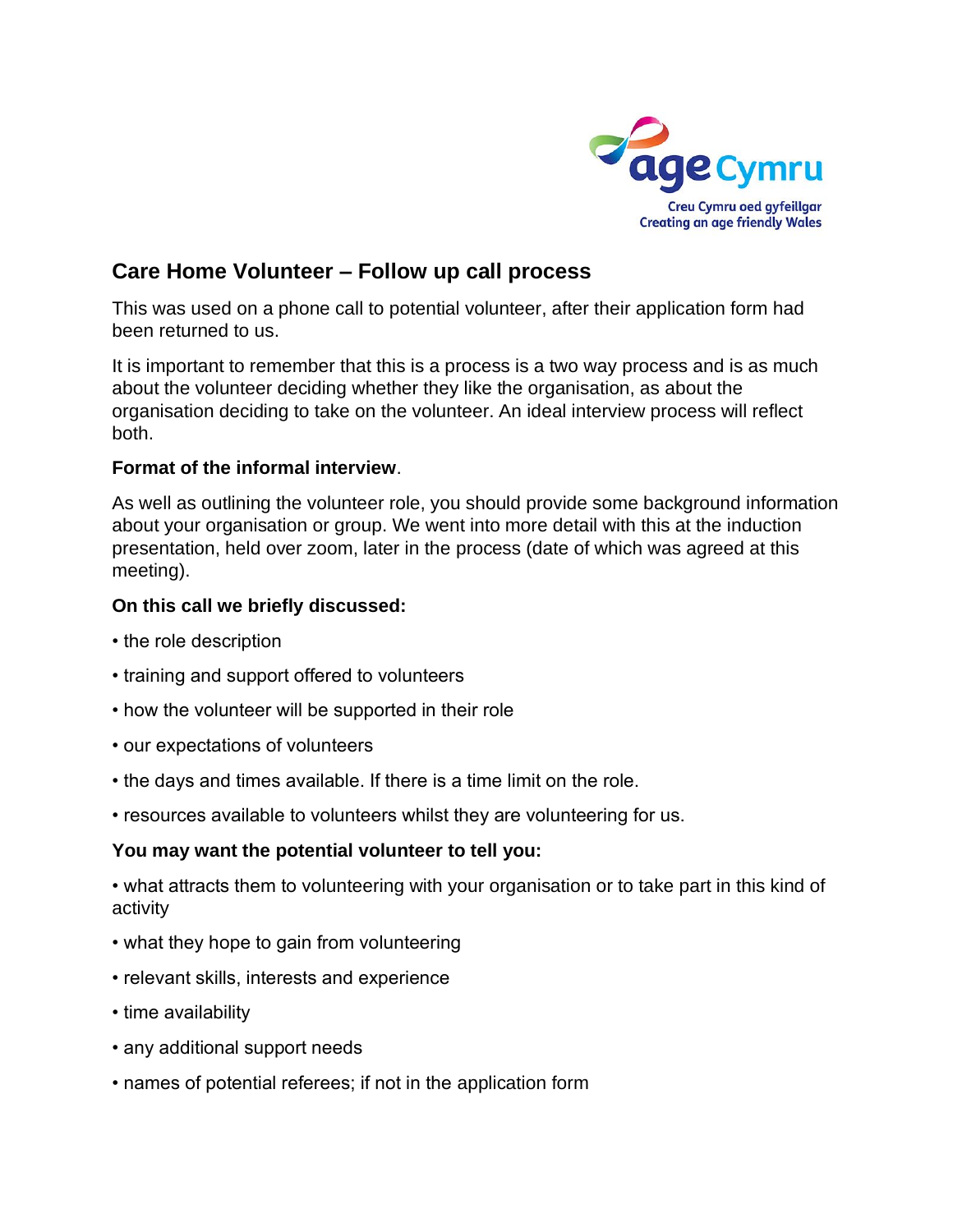

## **Care Home Volunteer – Follow up call process**

This was used on a phone call to potential volunteer, after their application form had been returned to us.

It is important to remember that this is a process is a two way process and is as much about the volunteer deciding whether they like the organisation, as about the organisation deciding to take on the volunteer. An ideal interview process will reflect both.

## **Format of the informal interview**.

As well as outlining the volunteer role, you should provide some background information about your organisation or group. We went into more detail with this at the induction presentation, held over zoom, later in the process (date of which was agreed at this meeting).

## **On this call we briefly discussed:**

- the role description
- training and support offered to volunteers
- how the volunteer will be supported in their role
- our expectations of volunteers
- the days and times available. If there is a time limit on the role.
- resources available to volunteers whilst they are volunteering for us.

## **You may want the potential volunteer to tell you:**

• what attracts them to volunteering with your organisation or to take part in this kind of activity

- what they hope to gain from volunteering
- relevant skills, interests and experience
- time availability
- any additional support needs
- names of potential referees; if not in the application form